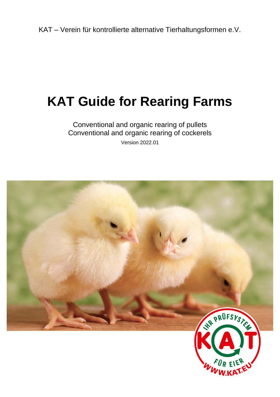KAT – Verein für kontrollierte alternative Tierhaltungsformen e.V.

# **KAT Guide for Rearing Farms**

# Conventional and organic rearing of pullets Conventional and organic rearing of cockerels Version 2022.01

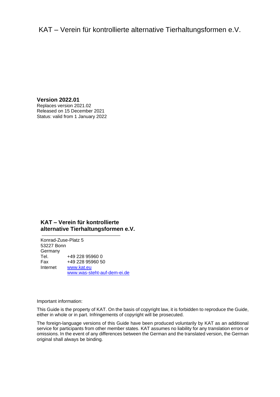# KAT – Verein für kontrollierte alternative Tierhaltungsformen e.V.

**Version 2022.01** Replaces version 2021.02 Released on 15 December 2021 Status: valid from 1 January 2022

# **KAT – Verein für kontrollierte alternative Tierhaltungsformen e.V.**

Konrad-Zuse-Platz 5 53227 Bonn Germany Tel. +49 228 95960 0 Fax +49 228 95960 50 Internet [www.kat.eu](file://///kat-fs01/Kontrollen/KAT/Prüfsystematik%20und%20Leitfäden/1.%20KAT-Prüfsystematik%20und%20Leitfäden%202017-2020/2_Leitfäden/In%20Bearbeitung/Vorlage/www.kat.ec) [www.was-steht-auf-dem-ei.de](file://///kat-fs01/Kontrollen/KAT/Prüfsystematik%20und%20Leitfäden/1.%20KAT-Prüfsystematik%20und%20Leitfäden%202017-2020/2_Leitfäden/In%20Bearbeitung/Vorlage/www.was-steht-auf-dem-ei.de)

Important information:

This Guide is the property of KAT. On the basis of copyright law, it is forbidden to reproduce the Guide, either in whole or in part. Infringements of copyright will be prosecuted.

The foreign-language versions of this Guide have been produced voluntarily by KAT as an additional service for participants from other member states. KAT assumes no liability for any translation errors or omissions. In the event of any differences between the German and the translated version, the German original shall always be binding.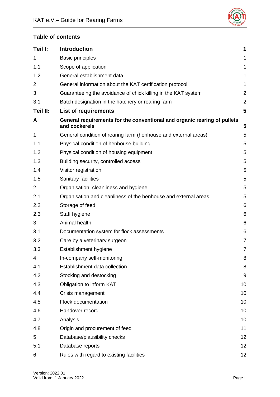

# **Table of contents**

| Teil I:        | <b>Introduction</b>                                                                       | 1              |
|----------------|-------------------------------------------------------------------------------------------|----------------|
| 1              | <b>Basic principles</b>                                                                   | 1              |
| 1.1            | Scope of application                                                                      | $\mathbf{1}$   |
| 1.2            | General establishment data                                                                | $\mathbf{1}$   |
| 2              | General information about the KAT certification protocol                                  | $\mathbf{1}$   |
| 3              | Guaranteeing the avoidance of chick killing in the KAT system                             | $\overline{2}$ |
| 3.1            | Batch designation in the hatchery or rearing farm                                         | $\overline{2}$ |
| Teil II:       | <b>List of requirements</b>                                                               | 5              |
| A              | General requirements for the conventional and organic rearing of pullets<br>and cockerels | 5              |
| 1              | General condition of rearing farm (henhouse and external areas)                           | 5              |
| 1.1            | Physical condition of henhouse building                                                   | 5              |
| 1.2            | Physical condition of housing equipment                                                   | 5              |
| 1.3            | Building security, controlled access                                                      | 5              |
| 1.4            | Visitor registration                                                                      | 5              |
| 1.5            | Sanitary facilities                                                                       | 5              |
| $\overline{2}$ | Organisation, cleanliness and hygiene                                                     | 5              |
| 2.1            | Organisation and cleanliness of the henhouse and external areas                           | 5              |
| 2.2            | Storage of feed                                                                           | 6              |
| 2.3            | Staff hygiene                                                                             | 6              |
| 3              | Animal health                                                                             | 6              |
| 3.1            | Documentation system for flock assessments                                                | 6              |
| 3.2            | Care by a veterinary surgeon                                                              | $\overline{7}$ |
| 3.3            | Establishment hygiene                                                                     | $\overline{7}$ |
| 4              | In-company self-monitoring                                                                | 8              |
| 4.1            | Establishment data collection                                                             | 8              |
| 4.2            | Stocking and destocking                                                                   | 9              |
| 4.3            | Obligation to inform KAT                                                                  | 10             |
| 4.4            | Crisis management                                                                         | 10             |
| 4.5            | <b>Flock documentation</b>                                                                | 10             |
| 4.6            | Handover record                                                                           | 10             |
| 4.7            | Analysis                                                                                  | 10             |
| 4.8            | Origin and procurement of feed                                                            | 11             |
| 5              | Database/plausibility checks                                                              | 12             |
| 5.1            | Database reports                                                                          | 12             |
| 6              | Rules with regard to existing facilities                                                  | 12             |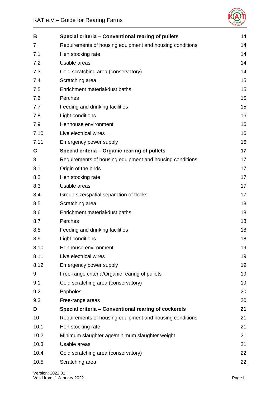

| B              | Special criteria - Conventional rearing of pullets       | 14 |
|----------------|----------------------------------------------------------|----|
| $\overline{7}$ | Requirements of housing equipment and housing conditions | 14 |
| 7.1            | Hen stocking rate                                        | 14 |
| 7.2            | Usable areas                                             | 14 |
| 7.3            | Cold scratching area (conservatory)                      | 14 |
| 7.4            | Scratching area                                          | 15 |
| 7.5            | Enrichment material/dust baths                           | 15 |
| 7.6            | Perches                                                  | 15 |
| 7.7            | Feeding and drinking facilities                          | 15 |
| 7.8            | Light conditions                                         | 16 |
| 7.9            | Henhouse environment                                     | 16 |
| 7.10           | Live electrical wires                                    | 16 |
| 7.11           | Emergency power supply                                   | 16 |
| $\mathbf c$    | Special criteria - Organic rearing of pullets            | 17 |
| 8              | Requirements of housing equipment and housing conditions | 17 |
| 8.1            | Origin of the birds                                      | 17 |
| 8.2            | Hen stocking rate                                        | 17 |
| 8.3            | Usable areas                                             | 17 |
| 8.4            | Group size/spatial separation of flocks                  | 17 |
| 8.5            | Scratching area                                          | 18 |
| 8.6            | Enrichment material/dust baths                           | 18 |
| 8.7            | Perches                                                  | 18 |
| 8.8            | Feeding and drinking facilities                          | 18 |
| 8.9            | Light conditions                                         | 18 |
| 8.10           | Henhouse environment                                     | 19 |
| 8.11           | Live electrical wires                                    | 19 |
| 8.12           | Emergency power supply                                   | 19 |
| 9              | Free-range criteria/Organic rearing of pullets           | 19 |
| 9.1            | Cold scratching area (conservatory)                      | 19 |
| 9.2            | Popholes                                                 | 20 |
| 9.3            | Free-range areas                                         | 20 |
| D              | Special criteria - Conventional rearing of cockerels     | 21 |
| 10             | Requirements of housing equipment and housing conditions | 21 |
| 10.1           | Hen stocking rate                                        | 21 |
| 10.2           | Minimum slaughter age/minimum slaughter weight           | 21 |
| 10.3           | Usable areas                                             | 21 |
| 10.4           | Cold scratching area (conservatory)                      | 22 |
| 10.5           | Scratching area                                          | 22 |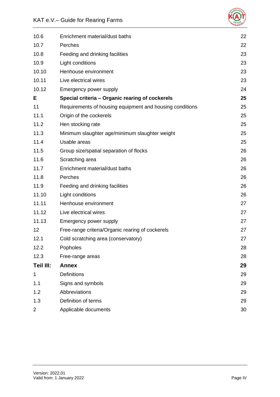# KAT e.V.– Guide for Rearing Farms



| 10.6      | Enrichment material/dust baths                           | 22 |
|-----------|----------------------------------------------------------|----|
| 10.7      | Perches                                                  | 22 |
| 10.8      | Feeding and drinking facilities                          | 23 |
| 10.9      | Light conditions                                         | 23 |
| 10.10     | Henhouse environment                                     | 23 |
| 10.11     | Live electrical wires                                    | 23 |
| 10.12     | Emergency power supply                                   | 24 |
| E         | Special criteria - Organic rearing of cockerels          | 25 |
| 11        | Requirements of housing equipment and housing conditions | 25 |
| 11.1      | Origin of the cockerels                                  | 25 |
| 11.2      | Hen stocking rate                                        | 25 |
| 11.3      | Minimum slaughter age/minimum slaughter weight           | 25 |
| 11.4      | Usable areas                                             | 25 |
| 11.5      | Group size/spatial separation of flocks                  | 26 |
| 11.6      | Scratching area                                          | 26 |
| 11.7      | Enrichment material/dust baths                           | 26 |
| 11.8      | Perches                                                  | 26 |
| 11.9      | Feeding and drinking facilities                          | 26 |
| 11.10     | Light conditions                                         | 26 |
| 11.11     | Henhouse environment                                     | 27 |
| 11.12     | Live electrical wires                                    | 27 |
| 11.13     | Emergency power supply                                   | 27 |
| 12        | Free-range criteria/Organic rearing of cockerels         | 27 |
| 12.1      | Cold scratching area (conservatory)                      | 27 |
| 12.2      | Popholes                                                 | 28 |
| 12.3      | Free-range areas                                         | 28 |
| Teil III: | <b>Annex</b>                                             | 29 |
| 1         | <b>Definitions</b>                                       | 29 |
| 1.1       | Signs and symbols                                        | 29 |
| 1.2       | Abbreviations                                            | 29 |
| 1.3       | Definition of terms                                      | 29 |
| 2         | Applicable documents                                     | 30 |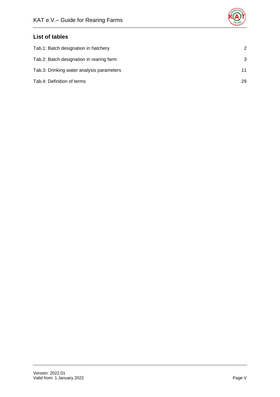

# **List of tables**

| Tab.1: Batch designation in hatchery      | 2  |
|-------------------------------------------|----|
| Tab.2: Batch designation in rearing farm  | 3  |
| Tab.3: Drinking water analysis parameters | 11 |
| Tab.4: Definition of terms                | 29 |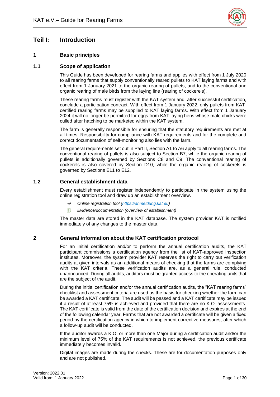

# <span id="page-6-0"></span>**Teil I: Introduction**

# <span id="page-6-1"></span>**1 Basic principles**

# <span id="page-6-2"></span>**1.1 Scope of application**

This Guide has been developed for rearing farms and applies with effect from 1 July 2020 to all rearing farms that supply conventionally reared pullets to KAT laying farms and with effect from 1 January 2021 to the organic rearing of pullets, and to the conventional and organic rearing of male birds from the laying line (rearing of cockerels).

These rearing farms must register with the KAT system and, after successful certification, conclude a participation contract. With effect from 1 January 2022, only pullets from KATcertified rearing farms may be supplied to KAT laying farms. With effect from 1 January 2024 it will no longer be permitted for eggs from KAT laying hens whose male chicks were culled after hatching to be marketed within the KAT system.

The farm is generally responsible for ensuring that the statutory requirements are met at all times. Responsibility for compliance with KAT requirements and for the complete and correct documentation of self-monitoring also lies with the farm.

The general requirements set out in Part II, Section A1 to A6 apply to all rearing farms. The conventional rearing of pullets is also subject to Section B7, while the organic rearing of pullets is additionally governed by Sections C8 and C9. The conventional rearing of cockerels is also covered by Section D10, while the organic rearing of cockerels is governed by Sections E11 to E12.

# <span id="page-6-3"></span>**1.2 General establishment data**

Every establishment must register independently to participate in the system using the online registration tool and draw up an establishment overview.

- → *Online registration tool (https://anmeldung.kat.eu)*
- *Evidence/documentation (overview of establishment)*

The master data are stored in the KAT database. The system provider KAT is notified immediately of any changes to the master data.

# <span id="page-6-4"></span>**2 General information about the KAT certification protocol**

For an initial certification and/or to perform the annual certification audits, the KAT participant commissions a certification agency from the list of KAT-approved inspection institutes. Moreover, the system provider KAT reserves the right to carry out verification audits at given intervals as an additional means of checking that the farms are complying with the KAT criteria. These verification audits are, as a general rule, conducted unannounced. During all audits, auditors must be granted access to the operating units that are the subject of the audit.

During the initial certification and/or the annual certification audits, the "KAT rearing farms" checklist and assessment criteria are used as the basis for checking whether the farm can be awarded a KAT certificate. The audit will be passed and a KAT certificate may be issued if a result of at least 75% is achieved and provided that there are no K.O. assessments. The KAT certificate is valid from the date of the certification decision and expires at the end of the following calendar year. Farms that are not awarded a certificate will be given a fixed period by the certification agency in which to implement corrective measures, after which a follow-up audit will be conducted.

If the auditor awards a K.O. or more than one Major during a certification audit and/or the minimum level of 75% of the KAT requirements is not achieved, the previous certificate immediately becomes invalid.

Digital images are made during the checks. These are for documentation purposes only and are not published.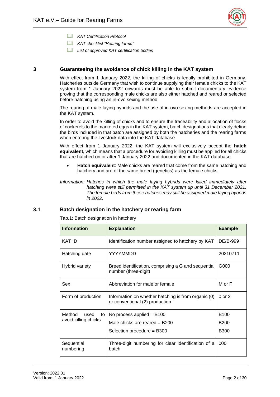

- *KAT Certification Protocol*
- *KAT checklist "Rearing farms"*
- *List of approved KAT certification bodies*

# <span id="page-7-0"></span>**3 Guaranteeing the avoidance of chick killing in the KAT system**

With effect from 1 January 2022, the killing of chicks is legally prohibited in Germany. Hatcheries outside Germany that wish to continue supplying their female chicks to the KAT system from 1 January 2022 onwards must be able to submit documentary evidence proving that the corresponding male chicks are also either hatched and reared or selected before hatching using an in-ovo sexing method.

The rearing of male laying hybrids and the use of in-ovo sexing methods are accepted in the KAT system.

In order to avoid the killing of chicks and to ensure the traceability and allocation of flocks of cockerels to the marketed eggs in the KAT system, batch designations that clearly define the birds included in that batch are assigned by both the hatcheries and the rearing farms when entering the livestock data into the KAT database.

With effect from 1 January 2022, the KAT system will exclusively accept the **hatch equivalent,** which means that a procedure for avoiding killing must be applied for all chicks that are hatched on or after 1 January 2022 and documented in the KAT database.

• **Hatch equivalent**: Male chicks are reared that come from the same hatching and hatchery and are of the same breed (genetics) as the female chicks.

*Information: Hatches in which the male laying hybrids were killed immediately after hatching were still permitted in the KAT system up until 31 December 2021. The female birds from these hatches may still be assigned male laying hybrids in 2022.* 

# <span id="page-7-2"></span><span id="page-7-1"></span>**3.1 Batch designation in the hatchery or rearing farm**

Tab.1: Batch designation in hatchery

| <b>Information</b>      | <b>Explanation</b>                                                                    |             |
|-------------------------|---------------------------------------------------------------------------------------|-------------|
| KAT ID                  | Identification number assigned to hatchery by KAT                                     | DE/B-999    |
| Hatching date           | YYYYMMDD                                                                              | 20210711    |
| <b>Hybrid variety</b>   | Breed identification, comprising a G and sequential<br>number (three-digit)           |             |
| Sex                     | Abbreviation for male or female                                                       | M or F      |
| Form of production      | Information on whether hatching is from organic (0)<br>or conventional (2) production | 0 or 2      |
| Method<br>used<br>to    | No process applied $= B100$                                                           | <b>B100</b> |
| avoid killing chicks    | Male chicks are reared $=$ B200                                                       | <b>B200</b> |
|                         | Selection procedure = B300                                                            | <b>B300</b> |
| Sequential<br>numbering | Three-digit numbering for clear identification of a<br>batch                          | 000         |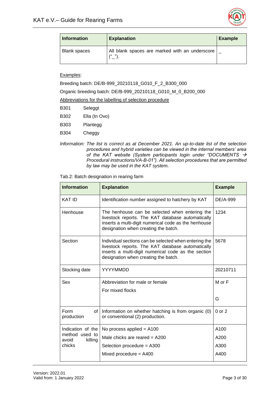

| <b>Information</b>  | <b>Explanation</b>                                          | <b>Example</b> |
|---------------------|-------------------------------------------------------------|----------------|
| <b>Blank spaces</b> | All blank spaces are marked with an underscore<br>$16 - 11$ |                |

#### Examples:

Breeding batch: DE/B-999\_20210118\_G010\_F\_2\_B300\_000

Organic breeding batch: DE/B-999\_20210118\_G010\_M\_0\_B200\_000

Abbreviations for the labelling of selection procedure

| B301        | Seleggt    |  |
|-------------|------------|--|
| <b>DOOO</b> | $\sqrt{2}$ |  |

- B302 Ella (In Ovo)
- B303 Plantegg

B304 Cheggy

*Information: The list is correct as at December 2021. An up-to-date list of the selection procedures and hybrid varieties can be viewed in the internal members' area of the KAT website (System participants login under "DOCUMENTS* → *Procedural instructions/VA-B-01"). All selection procedures that are permitted by law may be used in the KAT system.*

#### <span id="page-8-0"></span>Tab.2: Batch designation in rearing farm

| <b>Information</b>                           | <b>Explanation</b>                                                                                                                                                                                        | <b>Example</b> |
|----------------------------------------------|-----------------------------------------------------------------------------------------------------------------------------------------------------------------------------------------------------------|----------------|
| <b>KAT ID</b>                                | Identification number assigned to hatchery by KAT                                                                                                                                                         | DE/A-999       |
| Henhouse                                     | The henhouse can be selected when entering the<br>livestock reports. The KAT database automatically<br>inserts a multi-digit numerical code as the henhouse<br>designation when creating the batch.       | 1234           |
| Section                                      | Individual sections can be selected when entering the<br>livestock reports. The KAT database automatically<br>inserts a multi-digit numerical code as the section<br>designation when creating the batch. | 5678           |
| Stocking date                                | YYYYMMDD                                                                                                                                                                                                  | 20210711       |
| Sex                                          | Abbreviation for male or female<br>For mixed flocks                                                                                                                                                       | $M$ or $F$     |
|                                              |                                                                                                                                                                                                           | G              |
| Form<br>of<br>production                     | Information on whether hatching is from organic (0)<br>or conventional (2) production.                                                                                                                    | $0$ or $2$     |
| Indication of the                            | No process applied = $A100$                                                                                                                                                                               | A100           |
| method used to<br>killing<br>avoid<br>chicks | Male chicks are reared $=$ A200                                                                                                                                                                           | A200           |
|                                              | Selection procedure = A300                                                                                                                                                                                | A300           |
|                                              | Mixed procedure $= A400$                                                                                                                                                                                  | A400           |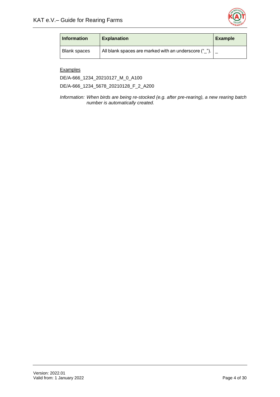

| <b>Information</b> | <b>Explanation</b>                                    | <b>Example</b> |
|--------------------|-------------------------------------------------------|----------------|
| Blank spaces       | All blank spaces are marked with an underscore (" "). |                |

# **Examples**

DE/A-666\_1234\_20210127\_M\_0\_A100

DE/A-666\_1234\_5678\_20210128\_F\_2\_A200

*Information: When birds are being re-stocked (e.g. after pre-rearing), a new rearing batch number is automatically created.*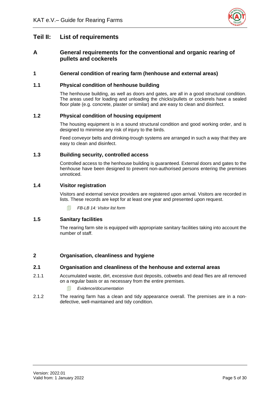

# <span id="page-10-0"></span>**Teil II: List of requirements**

# <span id="page-10-1"></span>**A General requirements for the conventional and organic rearing of pullets and cockerels**

# <span id="page-10-2"></span>**1 General condition of rearing farm (henhouse and external areas)**

# <span id="page-10-3"></span>**1.1 Physical condition of henhouse building**

The henhouse building, as well as doors and gates, are all in a good structural condition. The areas used for loading and unloading the chicks/pullets or cockerels have a sealed floor plate (e.g. concrete, plaster or similar) and are easy to clean and disinfect.

# <span id="page-10-4"></span>**1.2 Physical condition of housing equipment**

The housing equipment is in a sound structural condition and good working order, and is designed to minimise any risk of injury to the birds.

Feed conveyor belts and drinking-trough systems are arranged in such a way that they are easy to clean and disinfect.

# <span id="page-10-5"></span>**1.3 Building security, controlled access**

Controlled access to the henhouse building is guaranteed. External doors and gates to the henhouse have been designed to prevent non-authorised persons entering the premises unnoticed.

# <span id="page-10-6"></span>**1.4 Visitor registration**

Visitors and external service providers are registered upon arrival. Visitors are recorded in lists. These records are kept for at least one year and presented upon request.

*FB-LB 14: Visitor list form* 

# <span id="page-10-7"></span>**1.5 Sanitary facilities**

The rearing farm site is equipped with appropriate sanitary facilities taking into account the number of staff.

# <span id="page-10-8"></span>**2 Organisation, cleanliness and hygiene**

#### <span id="page-10-9"></span>**2.1 Organisation and cleanliness of the henhouse and external areas**

- 2.1.1 Accumulated waste, dirt, excessive dust deposits, cobwebs and dead flies are all removed on a regular basis or as necessary from the entire premises.
	- *Evidence/documentation*
- 2.1.2 The rearing farm has a clean and tidy appearance overall. The premises are in a nondefective, well-maintained and tidy condition.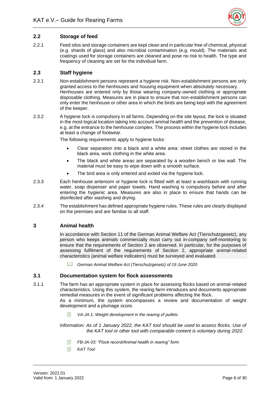

# <span id="page-11-0"></span>**2.2 Storage of feed**

2.2.1 Feed silos and storage containers are kept clean and in particular free of chemical, physical (e.g. shards of glass) and also microbial contamination (e.g. mould). The materials and coatings used for storage containers are cleaned and pose no risk to health. The type and frequency of cleaning are set for the individual farm.

# <span id="page-11-1"></span>**2.3 Staff hygiene**

- 2.3.1 Non-establishment persons represent a hygiene risk. Non-establishment persons are only granted access to the henhouses and housing equipment when absolutely necessary. Henhouses are entered only by those wearing company-owned clothing or appropriate disposable clothing. Measures are in place to ensure that non-establishment persons can only enter the henhouse or other area in which the birds are being kept with the agreement of the keeper.
- 2.3.2 A hygiene lock is compulsory in all farms. Depending on the site layout, the lock is situated in the most logical location taking into account animal health and the prevention of disease, e.g. at the entrance to the henhouse complex. The process within the hygiene lock includes at least a change of footwear.

The following requirements apply to hygiene locks:

- Clear separation into a black and a white area: street clothes are stored in the black area, work clothing in the white area.
- The black and white areas are separated by a wooden bench or low wall. The material must be easy to wipe down with a smooth surface.
- The bird area is only entered and exited via the hygiene lock.
- 2.3.3 Each henhouse anteroom or hygiene lock is fitted with at least a washbasin with running water, soap dispenser and paper towels. Hand washing is compulsory before and after entering the hygienic area. Measures are also in place to ensure that hands can be disinfected after washing and drying.
- 2.3.4 The establishment has defined appropriate hygiene rules. These rules are clearly displayed on the premises and are familiar to all staff.

# <span id="page-11-2"></span>**3 Animal health**

In accordance with Section 11 of the German Animal Welfare Act (Tierschutzgesetz), any person who keeps animals commercially must carry out in-company self-monitoring to ensure that the requirements of Section 2 are observed. In particular, for the purposes of assessing fulfilment of the requirements of Section 2, appropriate animal-related characteristics (animal welfare indicators) must be surveyed and evaluated.

*German Animal Welfare Act (Tierschutzgesetz) of 19 June 2020*

#### <span id="page-11-3"></span>**3.1 Documentation system for flock assessments**

3.1.1 The farm has an appropriate system in place for assessing flocks based on animal-related characteristics. Using this system, the rearing farm introduces and documents appropriate remedial measures in the event of significant problems affecting the flock.

> As a minimum, the system encompasses a review and documentation of weight development and a plumage score.

*VA-JA 1: Weight development in the rearing of pullets*

*Information: As of 1 January 2022, the KAT tool should be used to assess flocks. Use of the KAT tool or other tool with comparable content is voluntary during 2022.* 

- *FB-JA-03: "Flock record/Animal health in rearing" form*
- *KAT Tool*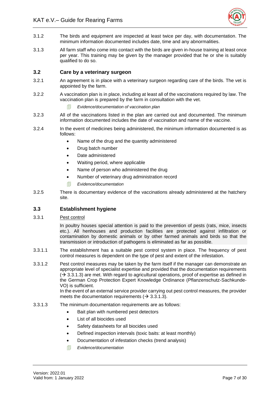

- 3.1.2 The birds and equipment are inspected at least twice per day, with documentation. The minimum information documented includes date, time and any abnormalities.
- 3.1.3 All farm staff who come into contact with the birds are given in-house training at least once per year. This training may be given by the manager provided that he or she is suitably qualified to do so.

## <span id="page-12-0"></span>**3.2 Care by a veterinary surgeon**

- 3.2.1 An agreement is in place with a veterinary surgeon regarding care of the birds. The vet is appointed by the farm.
- 3.2.2 A vaccination plan is in place, including at least all of the vaccinations required by law. The vaccination plan is prepared by the farm in consultation with the vet.
	- *Evidence/documentation of vaccination plan*
- 3.2.3 All of the vaccinations listed in the plan are carried out and documented. The minimum information documented includes the date of vaccination and name of the vaccine.
- 3.2.4 In the event of medicines being administered, the minimum information documented is as follows:
	- Name of the drug and the quantity administered
	- Drug batch number
	- Date administered
	- Waiting period, where applicable
	- Name of person who administered the drug
	- Number of veterinary drug administration record
	- *Evidence/documentation*
- 3.2.5 There is documentary evidence of the vaccinations already administered at the hatchery site.

# <span id="page-12-1"></span>**3.3 Establishment hygiene**

3.3.1 Pest control

In poultry houses special attention is paid to the prevention of pests (rats, mice, insects etc.). All henhouses and production facilities are protected against infiltration or contamination by domestic animals or by other farmed animals and birds so that the transmission or introduction of pathogens is eliminated as far as possible.

- 3.3.1.1 The establishment has a suitable pest control system in place. The frequency of pest control measures is dependent on the type of pest and extent of the infestation.
- 3.3.1.2 Pest control measures may be taken by the farm itself if the manager can demonstrate an appropriate level of specialist expertise and provided that the documentation requirements  $(\rightarrow 3.3.1.3)$  are met. With regard to agricultural operations, proof of expertise as defined in the German Crop Protection Expert Knowledge Ordinance (Pflanzenschutz-Sachkunde-VO) is sufficient.

In the event of an external service provider carrying out pest control measures, the provider meets the documentation requirements ( $\rightarrow$  3.3.1.3).

- 3.3.1.3 The minimum documentation requirements are as follows:
	- Bait plan with numbered pest detectors
	- List of all biocides used
	- Safety datasheets for all biocides used
	- Defined inspection intervals (toxic baits: at least monthly)
	- Documentation of infestation checks (trend analysis)
	- *Evidence/documentation*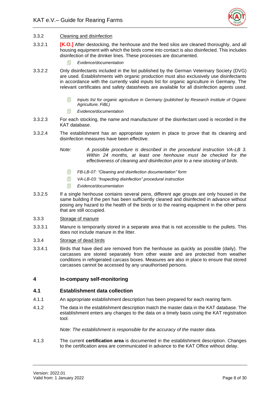

#### 3.3.2 Cleaning and disinfection

- 3.3.2.1 **[K.O.]** After destocking, the henhouse and the feed silos are cleaned thoroughly, and all housing equipment with which the birds come into contact is also disinfected. This includes disinfection of the drinker lines. These processes are documented.
	- *Evidence/documentation*
- 3.3.2.2 Only disinfectants included in the list published by the German Veterinary Society (DVG) are used. Establishments with organic production must also exclusively use disinfectants in accordance with the currently valid inputs list for organic agriculture in Germany. The relevant certificates and safety datasheets are available for all disinfection agents used.
	- **Inputs list for organic agriculture in Germany (published by Research Institute of Organic** *Agriculture, FiBL)*
	- *Evidence/documentation*
- 3.3.2.3 For each stocking, the name and manufacturer of the disinfectant used is recorded in the KAT database.
- 3.3.2.4 The establishment has an appropriate system in place to prove that its cleaning and disinfection measures have been effective.
	- *Note: A possible procedure is described in the procedural instruction VA-LB 3. Within 24 months, at least one henhouse must be checked for the effectiveness of cleaning and disinfection prior to a new stocking of birds.* 
		- *FB-LB-07: "Cleaning and disinfection documentation" form*
		- *VA-LB-03: "Inspecting disinfection" procedural instruction*
		- *Evidence/documentation*
- 3.3.2.5 If a single henhouse contains several pens, different age groups are only housed in the same building if the pen has been sufficiently cleaned and disinfected in advance without posing any hazard to the health of the birds or to the rearing equipment in the other pens that are still occupied.
- 3.3.3 Storage of manure
- 3.3.3.1 Manure is temporarily stored in a separate area that is not accessible to the pullets. This does not include manure in the litter.
- 3.3.4 Storage of dead birds
- 3.3.4.1 Birds that have died are removed from the henhouse as quickly as possible (daily). The carcasses are stored separately from other waste and are protected from weather conditions in refrigerated carcass boxes. Measures are also in place to ensure that stored carcasses cannot be accessed by any unauthorised persons.

#### <span id="page-13-0"></span>**4 In-company self-monitoring**

#### <span id="page-13-1"></span>**4.1 Establishment data collection**

- 4.1.1 An appropriate establishment description has been prepared for each rearing farm.
- 4.1.2 The data in the establishment description match the master data in the KAT database. The establishment enters any changes to the data on a timely basis using the KAT registration tool.

#### *Note: The establishment is responsible for the accuracy of the master data.*

4.1.3 The current **certification area** is documented in the establishment description. Changes to the certification area are communicated in advance to the KAT Office without delay.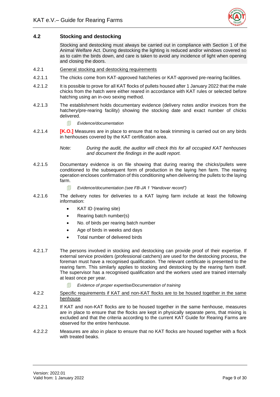

# <span id="page-14-0"></span>**4.2 Stocking and destocking**

Stocking and destocking must always be carried out in compliance with Section 1 of the Animal Welfare Act. During destocking the lighting is reduced and/or windows covered so as to calm the birds down, and care is taken to avoid any incidence of light when opening and closing the doors.

- 4.2.1 General stocking and destocking requirements
- 4.2.1.1 The chicks come from KAT-approved hatcheries or KAT-approved pre-rearing facilities.
- 4.2.1.2 It is possible to prove for all KAT flocks of pullets housed after 1 January 2022 that the male chicks from the hatch were either reared in accordance with KAT rules or selected before hatching using an in-ovo sexing method.
- 4.2.1.3 The establishment holds documentary evidence (delivery notes and/or invoices from the hatchery/pre-rearing facility) showing the stocking date and exact number of chicks delivered.
	- *Evidence/documentation*
- 4.2.1.4 **[K.O.]** Measures are in place to ensure that no beak trimming is carried out on any birds in henhouses covered by the KAT certification area.

*Note: During the audit, the auditor will check this for all occupied KAT henhouses and document the findings in the audit report.* 

- 4.2.1.5 Documentary evidence is on file showing that during rearing the chicks/pullets were conditioned to the subsequent form of production in the laying hen farm. The rearing operation encloses confirmation of this conditioning when delivering the pullets to the laying farm.
	- *Evidence/documentation (see FB-JA 1 "Handover record")*
- 4.2.1.6 The delivery notes for deliveries to a KAT laying farm include at least the following information:
	- KAT ID (rearing site)
	- Rearing batch number(s)
	- No. of birds per rearing batch number
	- Age of birds in weeks and days
	- Total number of delivered birds
- 4.2.1.7 The persons involved in stocking and destocking can provide proof of their expertise. If external service providers (professional catchers) are used for the destocking process, the foreman must have a recognised qualification. The relevant certificate is presented to the rearing farm. This similarly applies to stocking and destocking by the rearing farm itself. The supervisor has a recognised qualification and the workers used are trained internally at least once per year.
	- *Evidence of proper expertise/Documentation of training*
- 4.2.2 Specific requirements if KAT and non-KAT flocks are to be housed together in the same henhouse
- 4.2.2.1 If KAT and non-KAT flocks are to be housed together in the same henhouse, measures are in place to ensure that the flocks are kept in physically separate pens, that mixing is excluded and that the criteria according to the current KAT Guide for Rearing Farms are observed for the entire henhouse.
- 4.2.2.2 Measures are also in place to ensure that no KAT flocks are housed together with a flock with treated beaks.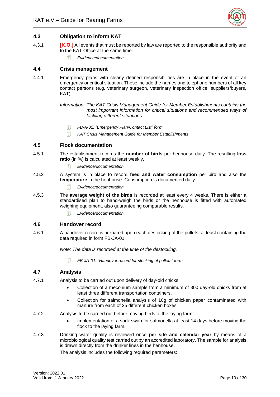

# <span id="page-15-0"></span>**4.3 Obligation to inform KAT**

- 4.3.1 **[K.O.]** All events that must be reported by law are reported to the responsible authority and to the KAT Office at the same time.
	- *Evidence/documentation*

# <span id="page-15-1"></span>**4.4 Crisis management**

4.4.1 Emergency plans with clearly defined responsibilities are in place in the event of an emergency or critical situation. These include the names and telephone numbers of all key contact persons (e.g. veterinary surgeon, veterinary inspection office, suppliers/buyers, KAT).

> *Information: The KAT Crisis Management Guide for Member Establishments contains the most important information for critical situations and recommended ways of tackling different situations.*

- *FB-A-02: "Emergency Plan/Contact List" form*
- *KAT Crisis Management Guide for Member Establishments*

# <span id="page-15-2"></span>**4.5 Flock documentation**

- 4.5.1 The establishment records the **number of birds** per henhouse daily. The resulting **loss ratio** (in %) is calculated at least weekly.
	- *Evidence/documentation*
- 4.5.2 A system is in place to record **feed and water consumption** per bird and also the **temperature** in the henhouse. Consumption is documented daily.
	- *Evidence/documentation*
- 4.5.3 The **average weight of the birds** is recorded at least every 4 weeks. There is either a standardised plan to hand-weigh the birds or the henhouse is fitted with automated weighing equipment, also guaranteeing comparable results.
	- *Evidence/documentation*

# <span id="page-15-3"></span>**4.6 Handover record**

4.6.1 A handover record is prepared upon each destocking of the pullets, at least containing the data required in form FB-JA-01.

*Note: The data is recorded at the time of the destocking.* 

*FB-JA-01: "Handover record for stocking of pullets" form* 

#### <span id="page-15-4"></span>**4.7 Analysis**

- 4.7.1 Analysis to be carried out upon delivery of day-old chicks:
	- Collection of a meconium sample from a minimum of 300 day-old chicks from at least three different transportation containers.
	- Collection for salmonella analysis of 10g of chicken paper contaminated with manure from each of 25 different chicken boxes.
- 4.7.2 Analysis to be carried out before moving birds to the laying farm:
	- Implementation of a sock swab for salmonella at least 14 days before moving the flock to the laying farm.
- 4.7.3 Drinking water quality is reviewed once **per site and calendar year** by means of a microbiological quality test carried out by an accredited laboratory. The sample for analysis is drawn directly from the drinker lines in the henhouse.

The analysis includes the following required parameters: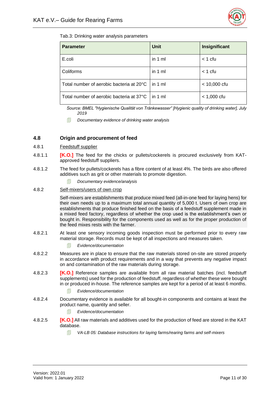

<span id="page-16-1"></span>Tab.3: Drinking water analysis parameters

| <b>Parameter</b>                         | <b>Unit</b> | Insignificant  |
|------------------------------------------|-------------|----------------|
| E.coli                                   | in 1 ml     | $<$ 1 cfu      |
| Coliforms                                | in 1 ml     | $<$ 1 cfu      |
| Total number of aerobic bacteria at 20°C | in 1 $ml$   | $< 10,000$ cfu |
| Total number of aerobic bacteria at 37°C | in 1 ml     | $< 1,000$ cfu  |

*Source: BMEL "Hygienische Qualität von Tränkewasser" [Hygienic quality of drinking water], July 2019*

*Documentary evidence of drinking water analysis* 

# <span id="page-16-0"></span>**4.8 Origin and procurement of feed**

- 4.8.1 Feedstuff supplier
- 4.8.1.1 **[K.O.]** The feed for the chicks or pullets/cockerels is procured exclusively from KATapproved feedstuff suppliers.
- 4.8.1.2 The feed for pullets/cockerels has a fibre content of at least 4%. The birds are also offered additives such as grit or other materials to promote digestion.
	- *Documentary evidence/analysis*
- 4.8.2 Self-mixers/users of own crop

Self-mixers are establishments that produce mixed feed (all-in-one feed for laying hens) for their own needs up to a maximum total annual quantity of 5,000 t. Users of own crop are establishments that produce finished feed on the basis of a feedstuff supplement made in a mixed feed factory, regardless of whether the crop used is the establishment's own or bought in. Responsibility for the components used as well as for the proper production of the feed mixes rests with the farmer.

- 4.8.2.1 At least one sensory incoming goods inspection must be performed prior to every raw material storage. Records must be kept of all inspections and measures taken.
	- *Evidence/documentation*
- 4.8.2.2 Measures are in place to ensure that the raw materials stored on-site are stored properly in accordance with product requirements and in a way that prevents any negative impact on and contamination of the raw materials during storage.
- 4.8.2.3 **[K.O.]** Reference samples are available from all raw material batches (incl. feedstuff supplements) used for the production of feedstuff, regardless of whether these were bought in or produced in-house. The reference samples are kept for a period of at least 6 months.
	- *Evidence/documentation*
- 4.8.2.4 Documentary evidence is available for all bought-in components and contains at least the product name, quantity and seller.
	- *Evidence/documentation*
- 4.8.2.5 **[K.O.]** All raw materials and additives used for the production of feed are stored in the KAT database.
	- *VA-LB 05: Database instructions for laying farms/rearing farms and self-mixers*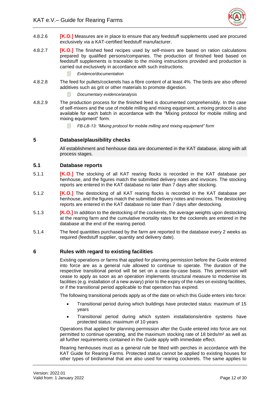

- 4.8.2.6 **[K.O.]** Measures are in place to ensure that any feedstuff supplements used are procured exclusively via a KAT-certified feedstuff manufacturer.
- 4.8.2.7 **[K.O.]** The finished feed recipes used by self-mixers are based on ration calculations prepared by qualified persons/companies. The production of finished feed based on feedstuff supplements is traceable to the mixing instructions provided and production is carried out exclusively in accordance with such instructions.
	- *Evidence/documentation*
- 4.8.2.8 The feed for pullets/cockerels has a fibre content of at least 4%. The birds are also offered additives such as grit or other materials to promote digestion.
	- *Documentary evidence/analysis*
- 4.8.2.9 The production process for the finished feed is documented comprehensibly. In the case of self-mixers and the use of mobile milling and mixing equipment, a mixing protocol is also available for each batch in accordance with the "Mixing protocol for mobile milling and mixing equipment" form.
	- *FB-LB-13: "Mixing protocol for mobile milling and mixing equipment" form*

# <span id="page-17-0"></span>**5 Database/plausibility checks**

All establishment and henhouse data are documented in the KAT database, along with all process stages.

#### <span id="page-17-1"></span>**5.1 Database reports**

- 5.1.1 **[K.O.]** The stocking of all KAT rearing flocks is recorded in the KAT database per henhouse, and the figures match the submitted delivery notes and invoices. The stocking reports are entered in the KAT database no later than 7 days after stocking.
- 5.1.2 **[K.O.]** The destocking of all KAT rearing flocks is recorded in the KAT database per henhouse, and the figures match the submitted delivery notes and invoices. The destocking reports are entered in the KAT database no later than 7 days after destocking.
- 5.1.3 [**K.O.]** In addition to the destocking of the cockerels, the average weights upon destocking at the rearing farm and the cumulative mortality rates for the cockerels are entered in the database at the end of the rearing period.
- 5.1.4 The feed quantities purchased by the farm are reported to the database every 2 weeks as required (feedstuff supplier, quantity and delivery date).

#### <span id="page-17-2"></span>**6 Rules with regard to existing facilities**

Existing operations or farms that applied for planning permission before the Guide entered into force are as a general rule allowed to continue to operate. The duration of the respective transitional period will be set on a case-by-case basis. This permission will cease to apply as soon as an operation implements structural measure to modernise its facilities (e.g. installation of a new aviary) prior to the expiry of the rules on existing facilities, or if the transitional period applicable to that operation has expired.

The following transitional periods apply as of the date on which this Guide enters into force:

- Transitional period during which buildings have protected status: maximum of 15 years
- Transitional period during which system installations/entire systems have protected status: maximum of 10 years

Operations that applied for planning permission after the Guide entered into force are not permitted to continue operating, and the maximum stocking rate of 18 birds/m² as well as all further requirements contained in the Guide apply with immediate effect.

Rearing henhouses must as a general rule be fitted with perches in accordance with the KAT Guide for Rearing Farms. Protected status cannot be applied to existing houses for other types of bird/animal that are also used for rearing cockerels. The same applies to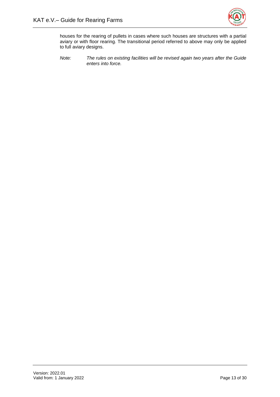

houses for the rearing of pullets in cases where such houses are structures with a partial aviary or with floor rearing. The transitional period referred to above may only be applied to full aviary designs.

*Note: The rules on existing facilities will be revised again two years after the Guide enters into force.*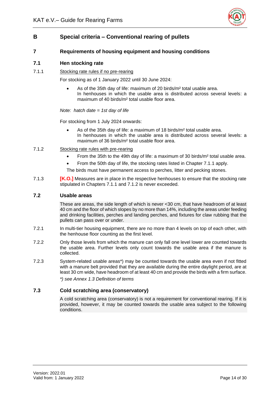

# <span id="page-19-0"></span>**B Special criteria – Conventional rearing of pullets**

# <span id="page-19-1"></span>**7 Requirements of housing equipment and housing conditions**

## <span id="page-19-2"></span>**7.1 Hen stocking rate**

7.1.1 Stocking rate rules if no pre-rearing

For stocking as of 1 January 2022 until 30 June 2024:

• As of the 35th day of life: maximum of 20 birds/m² total usable area. In henhouses in which the usable area is distributed across several levels: a maximum of 40 birds/m² total usable floor area.

*Note: hatch date = 1st day of life*

For stocking from 1 July 2024 onwards:

- As of the 35th day of life: a maximum of 18 birds/m<sup>2</sup> total usable area. In henhouses in which the usable area is distributed across several levels: a maximum of 36 birds/m² total usable floor area.
- 7.1.2 Stocking rate rules with pre-rearing
	- From the 35th to the 49th day of life: a maximum of 30 birds/m² total usable area.
	- From the 50th day of life, the stocking rates listed in Chapter 7.1.1 apply.
	- The birds must have permanent access to perches, litter and pecking stones.
- 7.1.3 **[K.O.]** Measures are in place in the respective henhouses to ensure that the stocking rate stipulated in Chapters 7.1.1 and 7.1.2 is never exceeded.

# <span id="page-19-3"></span>**7.2 Usable areas**

These are areas, the side length of which is never <30 cm, that have headroom of at least 40 cm and the floor of which slopes by no more than 14%, including the areas under feeding and drinking facilities, perches and landing perches, and fixtures for claw rubbing that the pullets can pass over or under.

- 7.2.1 In multi-tier housing equipment, there are no more than 4 levels on top of each other, with the henhouse floor counting as the first level.
- 7.2.2 Only those levels from which the manure can only fall one level lower are counted towards the usable area. Further levels only count towards the usable area if the manure is collected.
- 7.2.3 System-related usable areas\*) may be counted towards the usable area even if not fitted with a manure belt provided that they are available during the entire daylight period, are at least 30 cm wide, have headroom of at least 40 cm and provide the birds with a firm surface. *\*) see Annex 1.3 Definition of terms*

#### <span id="page-19-4"></span>**7.3 Cold scratching area (conservatory)**

A cold scratching area (conservatory) is not a requirement for conventional rearing. If it is provided, however, it may be counted towards the usable area subject to the following conditions.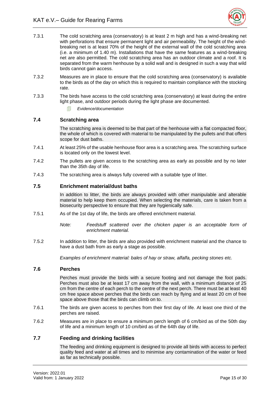

- 7.3.1 The cold scratching area (conservatory) is at least 2 m high and has a wind-breaking net with perforations that ensure permanent light and air permeability. The height of the windbreaking net is at least 70% of the height of the external wall of the cold scratching area (i.e. a minimum of 1.40 m). Installations that have the same features as a wind-breaking net are also permitted. The cold scratching area has an outdoor climate and a roof. It is separated from the warm henhouse by a solid wall and is designed in such a way that wild birds cannot gain access.
- 7.3.2 Measures are in place to ensure that the cold scratching area (conservatory) is available to the birds as of the day on which this is required to maintain compliance with the stocking rate.
- 7.3.3 The birds have access to the cold scratching area (conservatory) at least during the entire light phase, and outdoor periods during the light phase are documented.
	- *Evidence/documentation*

#### <span id="page-20-0"></span>**7.4 Scratching area**

The scratching area is deemed to be that part of the henhouse with a flat compacted floor, the whole of which is covered with material to be manipulated by the pullets and that offers scope for dust baths.

- 7.4.1 At least 25% of the usable henhouse floor area is a scratching area. The scratching surface is located only on the lowest level.
- 7.4.2 The pullets are given access to the scratching area as early as possible and by no later than the 35th day of life.
- <span id="page-20-1"></span>7.4.3 The scratching area is always fully covered with a suitable type of litter.

#### **7.5 Enrichment material/dust baths**

In addition to litter, the birds are always provided with other manipulable and alterable material to help keep them occupied. When selecting the materials, care is taken from a biosecurity perspective to ensure that they are hygienically safe.

7.5.1 As of the 1st day of life, the birds are offered enrichment material.

*Note: Feedstuff scattered over the chicken paper is an acceptable form of enrichment material.*

7.5.2 In addition to litter, the birds are also provided with enrichment material and the chance to have a dust bath from as early a stage as possible.

*Examples of enrichment material: bales of hay or straw, alfalfa, pecking stones etc.*

#### <span id="page-20-2"></span>**7.6 Perches**

Perches must provide the birds with a secure footing and not damage the foot pads. Perches must also be at least 17 cm away from the wall, with a minimum distance of 25 cm from the centre of each perch to the centre of the next perch. There must be at least 40 cm free space above perches that the birds can reach by flying and at least 20 cm of free space above those that the birds can climb on to.

- 7.6.1 The birds are given access to perches from their first day of life. At least one third of the perches are raised.
- 7.6.2 Measures are in place to ensure a minimum perch length of 6 cm/bird as of the 50th day of life and a minimum length of 10 cm/bird as of the 64th day of life.

# <span id="page-20-3"></span>**7.7 Feeding and drinking facilities**

The feeding and drinking equipment is designed to provide all birds with access to perfect quality feed and water at all times and to minimise any contamination of the water or feed as far as technically possible.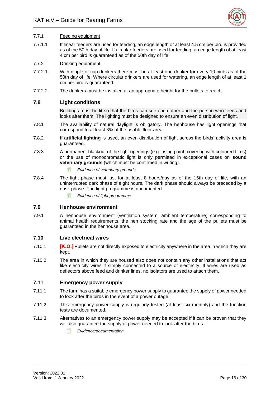

#### 7.7.1 Feeding equipment

7.7.1.1 If linear feeders are used for feeding, an edge length of at least 4.5 cm per bird is provided as of the 50th day of life. If circular feeders are used for feeding, an edge length of at least 4 cm per bird is guaranteed as of the 50th day of life.

#### 7.7.2 Drinking equipment

- 7.7.2.1 With nipple or cup drinkers there must be at least one drinker for every 10 birds as of the 50th day of life. Where circular drinkers are used for watering, an edge length of at least 1 cm per bird is guaranteed.
- <span id="page-21-0"></span>7.7.2.2 The drinkers must be installed at an appropriate height for the pullets to reach.

#### **7.8 Light conditions**

Buildings must be lit so that the birds can see each other and the person who feeds and looks after them. The lighting must be designed to ensure an even distribution of light.

- 7.8.1 The availability of natural daylight is obligatory. The henhouse has light openings that correspond to at least 3% of the usable floor area.
- 7.8.2 If **artificial lighting** is used, an even distribution of light across the birds' activity area is guaranteed.
- 7.8.3 A permanent blackout of the light openings (e.g. using paint, covering with coloured films) or the use of monochromatic light is only permitted in exceptional cases on **sound veterinary grounds** (which must be confirmed in writing).
	- *Evidence of veterinary grounds*
- 7.8.4 The light phase must last for at least 8 hours/day as of the 15th day of life, with an uninterrupted dark phase of eight hours. The dark phase should always be preceded by a dusk phase. The light programme is documented.
	- *Evidence of light programme*

#### <span id="page-21-1"></span>**7.9 Henhouse environment**

7.9.1 A henhouse environment (ventilation system, ambient temperature) corresponding to animal health requirements, the hen stocking rate and the age of the pullets must be guaranteed in the henhouse area.

#### <span id="page-21-2"></span>**7.10 Live electrical wires**

- 7.10.1 **[K.O.]** Pullets are not directly exposed to electricity anywhere in the area in which they are kept.
- 7.10.2 The area in which they are housed also does not contain any other installations that act like electricity wires if simply connected to a source of electricity. If wires are used as deflectors above feed and drinker lines, no isolators are used to attach them.

## <span id="page-21-3"></span>**7.11 Emergency power supply**

- 7.11.1 The farm has a suitable emergency power supply to guarantee the supply of power needed to look after the birds in the event of a power outage.
- 7.11.2 This emergency power supply is regularly tested (at least six-monthly) and the function tests are documented.
- 7.11.3 Alternatives to an emergency power supply may be accepted if it can be proven that they will also quarantee the supply of power needed to look after the birds.
	- *Evidence/documentation*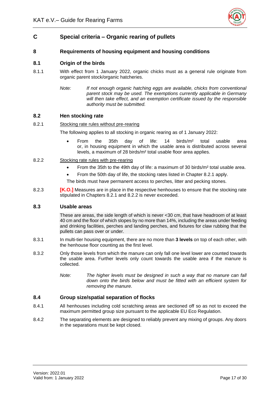

# <span id="page-22-0"></span>**C Special criteria – Organic rearing of pullets**

# <span id="page-22-1"></span>**8 Requirements of housing equipment and housing conditions**

# <span id="page-22-2"></span>**8.1 Origin of the birds**

- 8.1.1 With effect from 1 January 2022, organic chicks must as a general rule originate from organic parent stock/organic hatcheries.
	- *Note: If not enough organic hatching eggs are available, chicks from conventional parent stock may be used. The exemptions currently applicable in Germany will then take effect, and an exemption certificate issued by the responsible authority must be submitted.*

#### <span id="page-22-3"></span>**8.2 Hen stocking rate**

#### 8.2.1 Stocking rate rules without pre-rearing

The following applies to all stocking in organic rearing as of 1 January 2022:

- From the 35th day of life: 14 birds/m² total usable area or, in housing equipment in which the usable area is distributed across several levels, a maximum of 28 birds/m² total usable floor area applies.
- 8.2.2 Stocking rate rules with pre-rearing
	- From the 35th to the 49th day of life: a maximum of 30 birds/m² total usable area.
	- From the 50th day of life, the stocking rates listed in Chapter 8.2.1 apply.
	- The birds must have permanent access to perches, litter and pecking stones.
- 8.2.3 **[K.O.]** Measures are in place in the respective henhouses to ensure that the stocking rate stipulated in Chapters 8.2.1 and 8.2.2 is never exceeded.

#### <span id="page-22-4"></span>**8.3 Usable areas**

These are areas, the side length of which is never <30 cm, that have headroom of at least 40 cm and the floor of which slopes by no more than 14%, including the areas under feeding and drinking facilities, perches and landing perches, and fixtures for claw rubbing that the pullets can pass over or under.

- 8.3.1 In multi-tier housing equipment, there are no more than **3 levels** on top of each other, with the henhouse floor counting as the first level.
- 8.3.2 Only those levels from which the manure can only fall one level lower are counted towards the usable area. Further levels only count towards the usable area if the manure is collected.
	- *Note: The higher levels must be designed in such a way that no manure can fall down onto the birds below and must be fitted with an efficient system for removing the manure.*

#### <span id="page-22-5"></span>**8.4 Group size/spatial separation of flocks**

- 8.4.1 All henhouses including cold scratching areas are sectioned off so as not to exceed the maximum permitted group size pursuant to the applicable EU Eco Regulation.
- 8.4.2 The separating elements are designed to reliably prevent any mixing of groups. Any doors in the separations must be kept closed.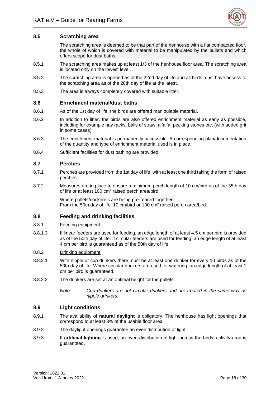

# <span id="page-23-0"></span>**8.5 Scratching area**

The scratching area is deemed to be that part of the henhouse with a flat compacted floor, the whole of which is covered with material to be manipulated by the pullets and which offers scope for dust baths.

- 8.5.1 The scratching area makes up at least 1/3 of the henhouse floor area. The scratching area is located only on the lowest level.
- 8.5.2 The scratching area is opened as of the 22nd day of life and all birds must have access to the scratching area as of the 28th day of life at the latest.
- <span id="page-23-1"></span>8.5.3 The area is always completely covered with suitable litter.

#### **8.6 Enrichment material/dust baths**

- 8.6.1 As of the 1st day of life, the birds are offered manipulable material.
- 8.6.2 In addition to litter, the birds are also offered enrichment material as early as possible, including for example hay racks, balls of straw, alfalfa, pecking stones etc. (with added grit in some cases).
- 8.6.3 The enrichment material is permanently accessible. A corresponding plan/documentation of the quantity and type of enrichment material used is in place.
- <span id="page-23-2"></span>8.6.4 Sufficient facilities for dust bathing are provided.

#### **8.7 Perches**

- 8.7.1 Perches are provided from the 1st day of life, with at least one third taking the form of raised perches.
- 8.7.2 Measures are in place to ensure a minimum perch length of 10 cm/bird as of the 35th day of life or at least 100 cm² raised perch area/bird.

Where pullets/cockerels are being pre-reared together: From the 50th day of life: 10 cm/bird or 100 cm² raised perch area/bird.

#### <span id="page-23-3"></span>**8.8 Feeding and drinking facilities**

#### 8.8.1 Feeding equipment

8.8.1.3 If linear feeders are used for feeding, an edge length of at least 4.5 cm per bird is provided as of the 50th day of life. If circular feeders are used for feeding, an edge length of at least 4 cm per bird is guaranteed as of the 50th day of life.

#### 8.8.2 Drinking equipment

- 8.8.2.1 With nipple or cup drinkers there must be at least one drinker for every 10 birds as of the 50th day of life. Where circular drinkers are used for watering, an edge length of at least 1 cm per bird is guaranteed.
- 8.8.2.2 The drinkers are set at an optimal height for the pullets.

*Note: Cup drinkers are not circular drinkers and are treated in the same way as nipple drinkers.*

#### <span id="page-23-4"></span>**8.9 Light conditions**

- 8.9.1 The availability of **natural daylight** is obligatory. The henhouse has light openings that correspond to at least 3% of the usable floor area.
- 8.9.2 The daylight openings guarantee an even distribution of light.
- 8.9.3 If **artificial lighting** is used, an even distribution of light across the birds' activity area is guaranteed.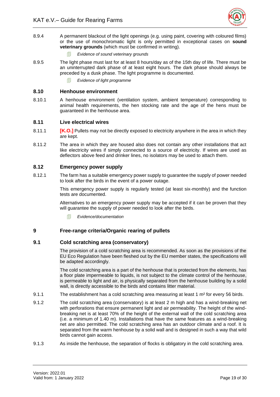

- 8.9.4 A permanent blackout of the light openings (e.g. using paint, covering with coloured films) or the use of monochromatic light is only permitted in exceptional cases on **sound veterinary grounds** (which must be confirmed in writing).
	- *Evidence of sound veterinary grounds*
- 8.9.5 The light phase must last for at least 8 hours/day as of the 15th day of life. There must be an uninterrupted dark phase of at least eight hours. The dark phase should always be preceded by a dusk phase. The light programme is documented.
	- *Evidence of light programme*

#### <span id="page-24-0"></span>**8.10 Henhouse environment**

8.10.1 A henhouse environment (ventilation system, ambient temperature) corresponding to animal health requirements, the hen stocking rate and the age of the hens must be guaranteed in the henhouse area.

#### <span id="page-24-1"></span>**8.11 Live electrical wires**

- 8.11.1 **[K.O.]** Pullets may not be directly exposed to electricity anywhere in the area in which they are kept.
- 8.11.2 The area in which they are housed also does not contain any other installations that act like electricity wires if simply connected to a source of electricity. If wires are used as deflectors above feed and drinker lines, no isolators may be used to attach them.

#### <span id="page-24-2"></span>**8.12 Emergency power supply**

8.12.1 The farm has a suitable emergency power supply to guarantee the supply of power needed to look after the birds in the event of a power outage.

> This emergency power supply is regularly tested (at least six-monthly) and the function tests are documented.

> Alternatives to an emergency power supply may be accepted if it can be proven that they will guarantee the supply of power needed to look after the birds.

*Evidence/documentation*

# <span id="page-24-3"></span>**9 Free-range criteria/Organic rearing of pullets**

## <span id="page-24-4"></span>**9.1 Cold scratching area (conservatory)**

The provision of a cold scratching area is recommended. As soon as the provisions of the EU Eco Regulation have been fleshed out by the EU member states, the specifications will be adapted accordingly.

The cold scratching area is a part of the henhouse that is protected from the elements, has a floor plate impermeable to liquids, is not subject to the climate control of the henhouse, is permeable to light and air, is physically separated from the henhouse building by a solid wall, is directly accessible to the birds and contains litter material.

- 9.1.1 The establishment has a cold scratching area measuring at least 1 m<sup>2</sup> for every 56 birds.
- 9.1.2 The cold scratching area (conservatory) is at least 2 m high and has a wind-breaking net with perforations that ensure permanent light and air permeability. The height of the windbreaking net is at least 70% of the height of the external wall of the cold scratching area (i.e. a minimum of 1.40 m). Installations that have the same features as a wind-breaking net are also permitted. The cold scratching area has an outdoor climate and a roof. It is separated from the warm henhouse by a solid wall and is designed in such a way that wild birds cannot gain access.
- 9.1.3 As inside the henhouse, the separation of flocks is obligatory in the cold scratching area.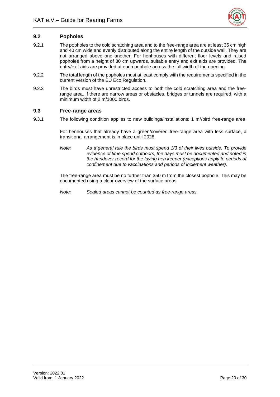

# <span id="page-25-0"></span>**9.2 Popholes**

- 9.2.1 The popholes to the cold scratching area and to the free-range area are at least 35 cm high and 40 cm wide and evenly distributed along the entire length of the outside wall. They are not arranged above one another. For henhouses with different floor levels and raised popholes from a height of 30 cm upwards, suitable entry and exit aids are provided. The entry/exit aids are provided at each pophole across the full width of the opening.
- 9.2.2 The total length of the popholes must at least comply with the requirements specified in the current version of the EU Eco Regulation.
- 9.2.3 The birds must have unrestricted access to both the cold scratching area and the freerange area. If there are narrow areas or obstacles, bridges or tunnels are required, with a minimum width of 2 m/1000 birds.

#### <span id="page-25-1"></span>**9.3 Free-range areas**

9.3.1 The following condition applies to new buildings/installations: 1 m²/bird free-range area.

For henhouses that already have a green/covered free-range area with less surface, a transitional arrangement is in place until 2028.

*Note: As a general rule the birds must spend 1/3 of their lives outside. To provide evidence of time spend outdoors, the days must be documented and noted in the handover record for the laying hen keeper (exceptions apply to periods of confinement due to vaccinations and periods of inclement weather).*

The free-range area must be no further than 350 m from the closest pophole. This may be documented using a clear overview of the surface areas.

*Note: Sealed areas cannot be counted as free-range areas.*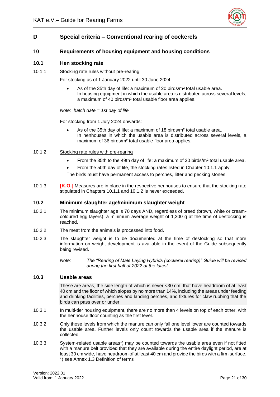

# <span id="page-26-0"></span>**D Special criteria – Conventional rearing of cockerels**

# <span id="page-26-1"></span>**10 Requirements of housing equipment and housing conditions**

## <span id="page-26-2"></span>**10.1 Hen stocking rate**

10.1.1 Stocking rate rules without pre-rearing

For stocking as of 1 January 2022 until 30 June 2024:

• As of the 35th day of life: a maximum of 20 birds/m² total usable area. In housing equipment in which the usable area is distributed across several levels, a maximum of 40 birds/m² total usable floor area applies.

*Note: hatch date = 1st day of life*

For stocking from 1 July 2024 onwards:

• As of the 35th day of life: a maximum of 18 birds/m<sup>2</sup> total usable area. In henhouses in which the usable area is distributed across several levels, a maximum of 36 birds/m² total usable floor area applies.

#### 10.1.2 Stocking rate rules with pre-rearing

- From the 35th to the 49th day of life: a maximum of 30 birds/m² total usable area.
- From the 50th day of life, the stocking rates listed in Chapter 10.1.1 apply.

The birds must have permanent access to perches, litter and pecking stones.

10.1.3 **[K.O.]** Measures are in place in the respective henhouses to ensure that the stocking rate stipulated in Chapters 10.1.1 and 10.1.2 is never exceeded.

#### <span id="page-26-3"></span>**10.2 Minimum slaughter age/minimum slaughter weight**

- 10.2.1 The minimum slaughter age is 70 days AND, regardless of breed (brown, white or creamcoloured egg layers), a minimum average weight of 1,300 g at the time of destocking is reached.
- 10.2.2 The meat from the animals is processed into food.
- 10.2.3 The slaughter weight is to be documented at the time of destocking so that more information on weight development is available in the event of the Guide subsequently being revised.
	- *Note: The "Rearing of Male Laying Hybrids (cockerel rearing)" Guide will be revised during the first half of 2022 at the latest.*

# <span id="page-26-4"></span>**10.3 Usable areas**

These are areas, the side length of which is never <30 cm, that have headroom of at least 40 cm and the floor of which slopes by no more than 14%, including the areas under feeding and drinking facilities, perches and landing perches, and fixtures for claw rubbing that the birds can pass over or under.

- 10.3.1 In multi-tier housing equipment, there are no more than 4 levels on top of each other, with the henhouse floor counting as the first level.
- 10.3.2 Only those levels from which the manure can only fall one level lower are counted towards the usable area. Further levels only count towards the usable area if the manure is collected.
- 10.3.3 System-related usable areas\*) may be counted towards the usable area even if not fitted with a manure belt provided that they are available during the entire daylight period, are at least 30 cm wide, have headroom of at least 40 cm and provide the birds with a firm surface. \*) see Annex 1.3 Definition of terms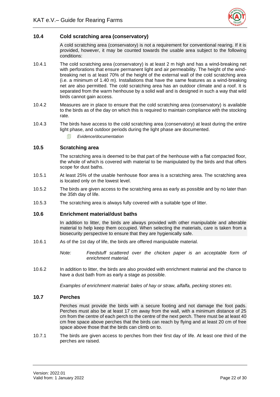

# <span id="page-27-0"></span>**10.4 Cold scratching area (conservatory)**

A cold scratching area (conservatory) is not a requirement for conventional rearing. If it is provided, however, it may be counted towards the usable area subject to the following conditions:

- 10.4.1 The cold scratching area (conservatory) is at least 2 m high and has a wind-breaking net with perforations that ensure permanent light and air permeability. The height of the windbreaking net is at least 70% of the height of the external wall of the cold scratching area (i.e. a minimum of 1.40 m). Installations that have the same features as a wind-breaking net are also permitted. The cold scratching area has an outdoor climate and a roof. It is separated from the warm henhouse by a solid wall and is designed in such a way that wild birds cannot gain access.
- 10.4.2 Measures are in place to ensure that the cold scratching area (conservatory) is available to the birds as of the day on which this is required to maintain compliance with the stocking rate.
- 10.4.3 The birds have access to the cold scratching area (conservatory) at least during the entire light phase, and outdoor periods during the light phase are documented.
	- *Evidence/documentation*

# <span id="page-27-1"></span>**10.5 Scratching area**

The scratching area is deemed to be that part of the henhouse with a flat compacted floor, the whole of which is covered with material to be manipulated by the birds and that offers scope for dust baths.

- 10.5.1 At least 25% of the usable henhouse floor area is a scratching area. The scratching area is located only on the lowest level.
- 10.5.2 The birds are given access to the scratching area as early as possible and by no later than the 35th day of life.
- <span id="page-27-2"></span>10.5.3 The scratching area is always fully covered with a suitable type of litter.

#### **10.6 Enrichment material/dust baths**

In addition to litter, the birds are always provided with other manipulable and alterable material to help keep them occupied. When selecting the materials, care is taken from a biosecurity perspective to ensure that they are hygienically safe.

- 10.6.1 As of the 1st day of life, the birds are offered manipulable material.
	- *Note: Feedstuff scattered over the chicken paper is an acceptable form of enrichment material.*
- 10.6.2 In addition to litter, the birds are also provided with enrichment material and the chance to have a dust bath from as early a stage as possible.

*Examples of enrichment material: bales of hay or straw, alfalfa, pecking stones etc.*

# <span id="page-27-3"></span>**10.7 Perches**

Perches must provide the birds with a secure footing and not damage the foot pads. Perches must also be at least 17 cm away from the wall, with a minimum distance of 25 cm from the centre of each perch to the centre of the next perch. There must be at least 40 cm free space above perches that the birds can reach by flying and at least 20 cm of free space above those that the birds can climb on to.

10.7.1 The birds are given access to perches from their first day of life. At least one third of the perches are raised.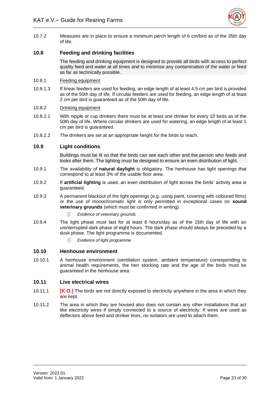

10.7.2 Measures are in place to ensure a minimum perch length of 6 cm/bird as of the 35th day of life.

# <span id="page-28-0"></span>**10.8 Feeding and drinking facilities**

The feeding and drinking equipment is designed to provide all birds with access to perfect quality feed and water at all times and to minimise any contamination of the water or feed as far as technically possible.

#### 10.8.1 Feeding equipment

10.8.1.3 If linear feeders are used for feeding, an edge length of at least 4.5 cm per bird is provided as of the 50th day of life. If circular feeders are used for feeding, an edge length of at least 2 cm per bird is guaranteed as of the 50th day of life.

#### 10.8.2 Drinking equipment

- 10.8.2.1 With nipple or cup drinkers there must be at least one drinker for every 10 birds as of the 50th day of life. Where circular drinkers are used for watering, an edge length of at least 1 cm per bird is guaranteed.
- <span id="page-28-1"></span>10.8.2.2 The drinkers are set at an appropriate height for the birds to reach.

#### **10.9 Light conditions**

Buildings must be lit so that the birds can see each other and the person who feeds and looks after them. The lighting must be designed to ensure an even distribution of light.

- 10.9.1 The availability of **natural daylight** is obligatory. The henhouse has light openings that correspond to at least 3% of the usable floor area.
- 10.9.2 If **artificial lighting** is used, an even distribution of light across the birds' activity area is guaranteed.
- 10.9.3 A permanent blackout of the light openings (e.g. using paint, covering with coloured films) or the use of monochromatic light is only permitted in exceptional cases on **sound veterinary grounds** (which must be confirmed in writing).
	- *Evidence of veterinary grounds*
- 10.9.4 The light phase must last for at least 8 hours/day as of the 15th day of life with an uninterrupted dark phase of eight hours. The dark phase should always be preceded by a dusk phase. The light programme is documented.
	- *Evidence of light programme*

#### <span id="page-28-2"></span>**10.10 Henhouse environment**

10.10.1 A henhouse environment (ventilation system, ambient temperature) corresponding to animal health requirements, the hen stocking rate and the age of the birds must be guaranteed in the henhouse area.

#### <span id="page-28-3"></span>**10.11 Live electrical wires**

- 10.11.1 **[K.O.]** The birds are not directly exposed to electricity anywhere in the area in which they are kept.
- 10.11.2 The area in which they are housed also does not contain any other installations that act like electricity wires if simply connected to a source of electricity. If wires are used as deflectors above feed and drinker lines, no isolators are used to attach them.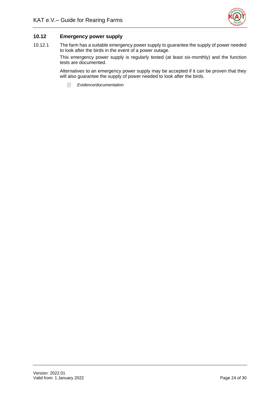

# <span id="page-29-0"></span>**10.12 Emergency power supply**

10.12.1 The farm has a suitable emergency power supply to guarantee the supply of power needed to look after the birds in the event of a power outage.

> This emergency power supply is regularly tested (at least six-monthly) and the function tests are documented.

> Alternatives to an emergency power supply may be accepted if it can be proven that they will also guarantee the supply of power needed to look after the birds.

*Evidence/documentation*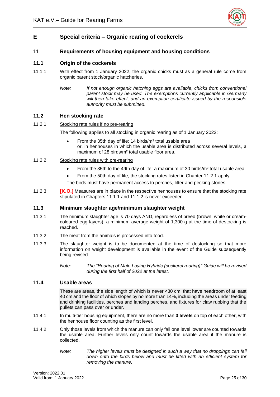

# <span id="page-30-0"></span>**E Special criteria – Organic rearing of cockerels**

# <span id="page-30-1"></span>**11 Requirements of housing equipment and housing conditions**

# <span id="page-30-2"></span>**11.1 Origin of the cockerels**

- 11.1.1 With effect from 1 January 2022, the organic chicks must as a general rule come from organic parent stock/organic hatcheries.
	- *Note: If not enough organic hatching eggs are available, chicks from conventional parent stock may be used. The exemptions currently applicable in Germany will then take effect, and an exemption certificate issued by the responsible authority must be submitted.*

#### <span id="page-30-3"></span>**11.2 Hen stocking rate**

#### 11.2.1 Stocking rate rules if no pre-rearing

The following applies to all stocking in organic rearing as of 1 January 2022:

• From the 35th day of life: 14 birds/m² total usable area or, in henhouses in which the usable area is distributed across several levels, a maximum of 28 birds/m² total usable floor area.

#### 11.2.2 Stocking rate rules with pre-rearing

- From the 35th to the 49th day of life: a maximum of 30 birds/m² total usable area.
- From the 50th day of life, the stocking rates listed in Chapter 11.2.1 apply.

The birds must have permanent access to perches, litter and pecking stones.

11.2.3 **[K.O.]** Measures are in place in the respective henhouses to ensure that the stocking rate stipulated in Chapters 11.1.1 and 11.1.2 is never exceeded.

#### <span id="page-30-4"></span>**11.3 Minimum slaughter age/minimum slaughter weight**

- 11.3.1 The minimum slaughter age is 70 days AND, regardless of breed (brown, white or creamcoloured egg layers), a minimum average weight of 1,300 g at the time of destocking is reached.
- 11.3.2 The meat from the animals is processed into food.
- 11.3.3 The slaughter weight is to be documented at the time of destocking so that more information on weight development is available in the event of the Guide subsequently being revised.

*Note: The "Rearing of Male Laying Hybrids (cockerel rearing)" Guide will be revised during the first half of 2022 at the latest.*

# <span id="page-30-5"></span>**11.4 Usable areas**

These are areas, the side length of which is never <30 cm, that have headroom of at least 40 cm and the floor of which slopes by no more than 14%, including the areas under feeding and drinking facilities, perches and landing perches, and fixtures for claw rubbing that the pullets can pass over or under.

- 11.4.1 In multi-tier housing equipment, there are no more than **3 levels** on top of each other, with the henhouse floor counting as the first level.
- 11.4.2 Only those levels from which the manure can only fall one level lower are counted towards the usable area. Further levels only count towards the usable area if the manure is collected.
	- *Note: The higher levels must be designed in such a way that no droppings can fall down onto the birds below and must be fitted with an efficient system for removing the manure.*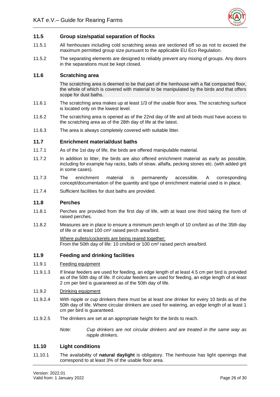

#### <span id="page-31-0"></span>**11.5 Group size/spatial separation of flocks**

- 11.5.1 All henhouses including cold scratching areas are sectioned off so as not to exceed the maximum permitted group size pursuant to the applicable EU Eco Regulation.
- 11.5.2 The separating elements are designed to reliably prevent any mixing of groups. Any doors in the separations must be kept closed.

## <span id="page-31-1"></span>**11.6 Scratching area**

The scratching area is deemed to be that part of the henhouse with a flat compacted floor, the whole of which is covered with material to be manipulated by the birds and that offers scope for dust baths.

- 11.6.1 The scratching area makes up at least 1/3 of the usable floor area. The scratching surface is located only on the lowest level.
- 11.6.2 The scratching area is opened as of the 22nd day of life and all birds must have access to the scratching area as of the 28th day of life at the latest.
- <span id="page-31-2"></span>11.6.3 The area is always completely covered with suitable litter.

#### **11.7 Enrichment material/dust baths**

- 11.7.1 As of the 1st day of life, the birds are offered manipulable material.
- 11.7.2 In addition to litter, the birds are also offered enrichment material as early as possible, including for example hay racks, balls of straw, alfalfa, pecking stones etc. (with added grit in some cases).
- 11.7.3 The enrichment material is permanently accessible. A corresponding concept/documentation of the quantity and type of enrichment material used is in place.
- <span id="page-31-3"></span>11.7.4 Sufficient facilities for dust baths are provided.

#### **11.8 Perches**

- 11.8.1 Perches are provided from the first day of life, with at least one third taking the form of raised perches.
- 11.8.2 Measures are in place to ensure a minimum perch length of 10 cm/bird as of the 35th day of life or at least 100 cm² raised perch area/bird.

Where pullets/cockerels are being reared together: From the 50th day of life: 10 cm/bird or 100 cm² raised perch area/bird.

# <span id="page-31-4"></span>**11.9 Feeding and drinking facilities**

#### 11.9.1 Feeding equipment

11.9.1.3 If linear feeders are used for feeding, an edge length of at least 4.5 cm per bird is provided as of the 50th day of life. If circular feeders are used for feeding, an edge length of at least 2 cm per bird is guaranteed as of the 50th day of life.

#### 11.9.2 Drinking equipment

- 11.9.2.4 With nipple or cup drinkers there must be at least one drinker for every 10 birds as of the 50th day of life. Where circular drinkers are used for watering, an edge length of at least 1 cm per bird is guaranteed.
- 11.9.2.5 The drinkers are set at an appropriate height for the birds to reach.
	- *Note: Cup drinkers are not circular drinkers and are treated in the same way as nipple drinkers.*

#### <span id="page-31-5"></span>**11.10 Light conditions**

11.10.1 The availability of **natural daylight** is obligatory. The henhouse has light openings that correspond to at least 3% of the usable floor area.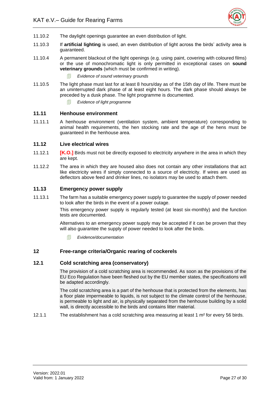

- 11.10.2 The daylight openings guarantee an even distribution of light.
- 11.10.3 If **artificial lighting** is used, an even distribution of light across the birds' activity area is guaranteed.
- 11.10.4 A permanent blackout of the light openings (e.g. using paint, covering with coloured films) or the use of monochromatic light is only permitted in exceptional cases on **sound veterinary grounds** (which must be confirmed in writing).
	- *Evidence of sound veterinary grounds*
- 11.10.5 The light phase must last for at least 8 hours/day as of the 15th day of life. There must be an uninterrupted dark phase of at least eight hours. The dark phase should always be preceded by a dusk phase. The light programme is documented.
	- *Evidence of light programme*

# <span id="page-32-0"></span>**11.11 Henhouse environment**

11.11.1 A henhouse environment (ventilation system, ambient temperature) corresponding to animal health requirements, the hen stocking rate and the age of the hens must be guaranteed in the henhouse area.

#### <span id="page-32-1"></span>**11.12 Live electrical wires**

- 11.12.1 **[K.O.]** Birds must not be directly exposed to electricity anywhere in the area in which they are kept.
- 11.12.2 The area in which they are housed also does not contain any other installations that act like electricity wires if simply connected to a source of electricity. If wires are used as deflectors above feed and drinker lines, no isolators may be used to attach them.

# <span id="page-32-2"></span>**11.13 Emergency power supply**

11.13.1 The farm has a suitable emergency power supply to guarantee the supply of power needed to look after the birds in the event of a power outage.

> This emergency power supply is regularly tested (at least six-monthly) and the function tests are documented.

> Alternatives to an emergency power supply may be accepted if it can be proven that they will also guarantee the supply of power needed to look after the birds.

*Evidence/documentation*

# <span id="page-32-3"></span>**12 Free-range criteria/Organic rearing of cockerels**

## <span id="page-32-4"></span>**12.1 Cold scratching area (conservatory)**

The provision of a cold scratching area is recommended. As soon as the provisions of the EU Eco Regulation have been fleshed out by the EU member states, the specifications will be adapted accordingly.

The cold scratching area is a part of the henhouse that is protected from the elements, has a floor plate impermeable to liquids, is not subject to the climate control of the henhouse, is permeable to light and air, is physically separated from the henhouse building by a solid wall, is directly accessible to the birds and contains litter material.

12.1.1 The establishment has a cold scratching area measuring at least 1  $m<sup>2</sup>$  for every 56 birds.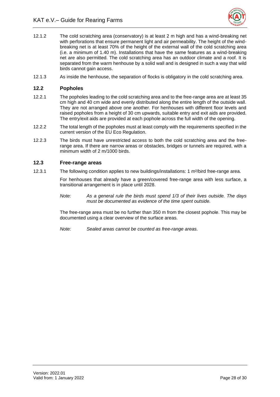

- 12.1.2 The cold scratching area (conservatory) is at least 2 m high and has a wind-breaking net with perforations that ensure permanent light and air permeability. The height of the windbreaking net is at least 70% of the height of the external wall of the cold scratching area (i.e. a minimum of 1.40 m). Installations that have the same features as a wind-breaking net are also permitted. The cold scratching area has an outdoor climate and a roof. It is separated from the warm henhouse by a solid wall and is designed in such a way that wild birds cannot gain access.
- <span id="page-33-0"></span>12.1.3 As inside the henhouse, the separation of flocks is obligatory in the cold scratching area.

#### **12.2 Popholes**

- 12.2.1 The popholes leading to the cold scratching area and to the free-range area are at least 35 cm high and 40 cm wide and evenly distributed along the entire length of the outside wall. They are not arranged above one another. For henhouses with different floor levels and raised popholes from a height of 30 cm upwards, suitable entry and exit aids are provided. The entry/exit aids are provided at each pophole across the full width of the opening.
- 12.2.2 The total length of the popholes must at least comply with the requirements specified in the current version of the EU Eco Regulation.
- 12.2.3 The birds must have unrestricted access to both the cold scratching area and the freerange area. If there are narrow areas or obstacles, bridges or tunnels are required, with a minimum width of 2 m/1000 birds.

# <span id="page-33-1"></span>**12.3 Free-range areas**

12.3.1 The following condition applies to new buildings/installations: 1 m²/bird free-range area.

For henhouses that already have a green/covered free-range area with less surface, a transitional arrangement is in place until 2028.

*Note: As a general rule the birds must spend 1/3 of their lives outside. The days must be documented as evidence of the time spent outside.*

The free-range area must be no further than 350 m from the closest pophole. This may be documented using a clear overview of the surface areas.

*Note: Sealed areas cannot be counted as free-range areas.*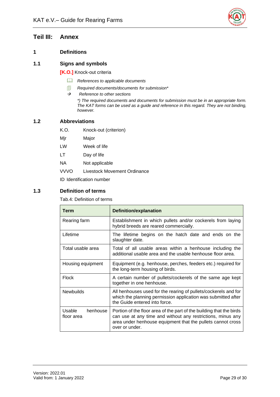

# <span id="page-34-0"></span>**Teil III: Annex**

# <span id="page-34-1"></span>**1 Definitions**

# <span id="page-34-2"></span>**1.1 Signs and symbols**

**[K.O.]** Knock-out criteria

- *References to applicable documents*
- *Required documents/documents for submission\**
- → *Reference to other sections*

*\*) The required documents and documents for submission must be in an appropriate form. The KAT forms can be used as a guide and reference in this regard. They are not binding, however.* 

# <span id="page-34-3"></span>**1.2 Abbreviations**

- K.O. Knock-out (criterion)
- Mjr Major
- LW Week of life
- LT Day of life
- NA Not applicable
- VVVO Livestock Movement Ordinance

ID Identification number

# <span id="page-34-5"></span><span id="page-34-4"></span>**1.3 Definition of terms**

Tab.4: Definition of terms

| Term                             | <b>Definition/explanation</b>                                                                                                                                                                                        |
|----------------------------------|----------------------------------------------------------------------------------------------------------------------------------------------------------------------------------------------------------------------|
| Rearing farm                     | Establishment in which pullets and/or cockerels from laying<br>hybrid breeds are reared commercially.                                                                                                                |
| Lifetime                         | The lifetime begins on the hatch date and ends on the<br>slaughter date.                                                                                                                                             |
| Total usable area                | Total of all usable areas within a henhouse including the<br>additional usable area and the usable henhouse floor area.                                                                                              |
| Housing equipment                | Equipment (e.g. henhouse, perches, feeders etc.) required for<br>the long-term housing of birds.                                                                                                                     |
| <b>Flock</b>                     | A certain number of pullets/cockerels of the same age kept<br>together in one henhouse.                                                                                                                              |
| <b>Newbuilds</b>                 | All henhouses used for the rearing of pullets/cockerels and for<br>which the planning permission application was submitted after<br>the Guide entered into force.                                                    |
| Usable<br>henhouse<br>floor area | Portion of the floor area of the part of the building that the birds<br>can use at any time and without any restrictions, minus any<br>area under henhouse equipment that the pullets cannot cross<br>over or under. |